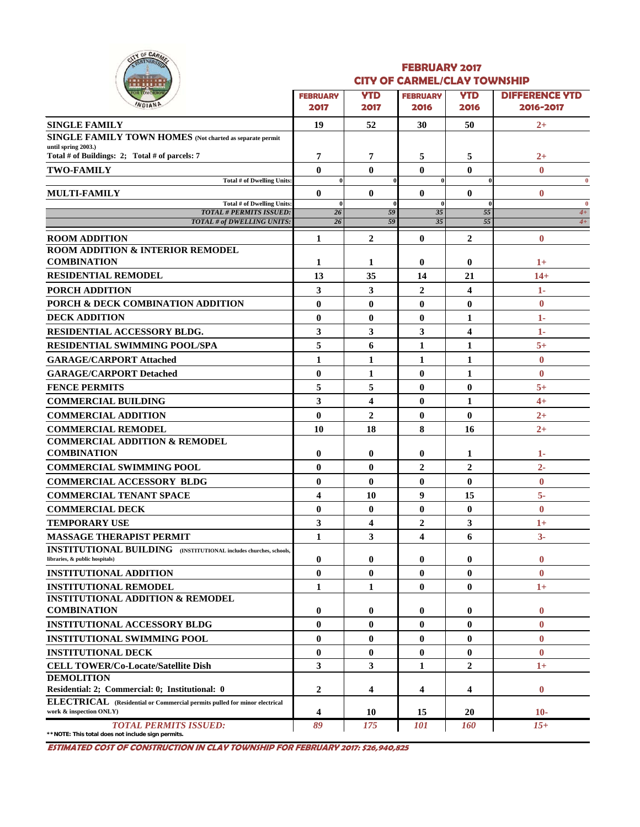

#### **FEBRUARY 2017 CITY OF CARMEL/CLAY TOWNSHIP**

| <u> 1918) 1918 1</u><br><b>OR TOMORROY</b>                                                                  | <b>FEBRUARY</b>         | <b>YTD</b>     | ____________<br><b>FEBRUARY</b> | <b>YTD</b>       | <b>DIFFERENCE YTD</b> |
|-------------------------------------------------------------------------------------------------------------|-------------------------|----------------|---------------------------------|------------------|-----------------------|
| <b>NDIANP</b>                                                                                               | 2017                    | 2017           | 2016                            | 2016             | 2016-2017             |
| <b>SINGLE FAMILY</b>                                                                                        | 19                      | 52             | 30                              | 50               | $2+$                  |
| <b>SINGLE FAMILY TOWN HOMES</b> (Not charted as separate permit                                             |                         |                |                                 |                  |                       |
| until spring 2003.)<br>Total # of Buildings: 2; Total # of parcels: 7                                       | 7                       | 7              | 5                               | 5                | $2+$                  |
| <b>TWO-FAMILY</b>                                                                                           | $\bf{0}$                | $\mathbf{0}$   | $\bf{0}$                        | $\bf{0}$         | $\mathbf{0}$          |
| Total # of Dwelling Units:                                                                                  | $\mathbf{0}$            |                | $\bf{0}$                        |                  | $\bf{0}$              |
| <b>MULTI-FAMILY</b>                                                                                         | $\mathbf{0}$            | $\mathbf{0}$   | $\mathbf{0}$                    | $\mathbf{0}$     | $\bf{0}$              |
| <b>Total # of Dwelling Units:</b><br><b>TOTAL # PERMITS ISSUED:</b>                                         | $\theta$<br>26          | 59             | $\bf{0}$<br>35                  | 55               | $\mathbf{0}$<br>$4+$  |
| TOTAL # of DWELLING UNITS:                                                                                  | 26                      | 59             | 35                              | 55               | $4+$                  |
| <b>ROOM ADDITION</b>                                                                                        | $\mathbf{1}$            | $\mathbf{2}$   | $\mathbf{0}$                    | $\overline{2}$   | $\bf{0}$              |
| <b>ROOM ADDITION &amp; INTERIOR REMODEL</b>                                                                 |                         |                |                                 |                  |                       |
| <b>COMBINATION</b>                                                                                          | 1                       | 1              | $\bf{0}$                        | 0                | $1+$                  |
| <b>RESIDENTIAL REMODEL</b>                                                                                  | 13                      | 35             | 14                              | 21               | $14+$                 |
| PORCH ADDITION                                                                                              | 3                       | 3              | $\overline{2}$                  | 4                | 1-                    |
| PORCH & DECK COMBINATION ADDITION                                                                           | $\bf{0}$                | $\bf{0}$       | $\bf{0}$                        | $\bf{0}$         | $\bf{0}$              |
| <b>DECK ADDITION</b>                                                                                        | $\bf{0}$                | $\bf{0}$       | $\bf{0}$                        | 1                | 1-                    |
| <b>RESIDENTIAL ACCESSORY BLDG.</b>                                                                          | 3                       | 3              | 3                               | 4                | 1-                    |
| <b>RESIDENTIAL SWIMMING POOL/SPA</b>                                                                        | 5                       | 6              | 1                               | 1                | $5+$                  |
| <b>GARAGE/CARPORT Attached</b>                                                                              | $\mathbf{1}$            | 1              | 1                               | 1                | $\bf{0}$              |
| <b>GARAGE/CARPORT Detached</b>                                                                              | $\bf{0}$                | 1              | $\bf{0}$                        | 1                | $\bf{0}$              |
| <b>FENCE PERMITS</b>                                                                                        | 5                       | 5              | $\bf{0}$                        | $\bf{0}$         | $5+$                  |
| <b>COMMERCIAL BUILDING</b>                                                                                  | 3                       | 4              | $\bf{0}$                        | 1                | $4+$                  |
| <b>COMMERCIAL ADDITION</b>                                                                                  | $\bf{0}$                | $\overline{2}$ | $\bf{0}$                        | $\bf{0}$         | $2+$                  |
| <b>COMMERCIAL REMODEL</b>                                                                                   | 10                      | 18             | 8                               | 16               | $2+$                  |
| <b>COMMERCIAL ADDITION &amp; REMODEL</b>                                                                    |                         |                |                                 |                  |                       |
| <b>COMBINATION</b>                                                                                          | $\bf{0}$                | $\bf{0}$       | 0                               | 1                | 1-                    |
| <b>COMMERCIAL SWIMMING POOL</b>                                                                             | $\mathbf{0}$            | $\mathbf{0}$   | $\overline{2}$                  | $\boldsymbol{2}$ | $2 -$                 |
| <b>COMMERCIAL ACCESSORY BLDG</b>                                                                            | $\bf{0}$                | $\bf{0}$       | $\bf{0}$                        | $\bf{0}$         | $\bf{0}$              |
| <b>COMMERCIAL TENANT SPACE</b>                                                                              | $\overline{\mathbf{4}}$ | 10             | 9                               | 15               | $5-$                  |
| <b>COMMERCIAL DECK</b>                                                                                      | $\bf{0}$                | $\bf{0}$       | $\bf{0}$                        | $\bf{0}$         | $\bf{0}$              |
| <b>TEMPORARY USE</b>                                                                                        | 3                       | 4              | 2                               | 3                | $1+$                  |
| <b>MASSAGE THERAPIST PERMIT</b>                                                                             | 1                       | 3              | 4                               | 6                | $3-$                  |
| <b>INSTITUTIONAL BUILDING</b> (INSTITUTIONAL includes churches, schools,<br>libraries, & public hospitals)  | $\bf{0}$                | $\bf{0}$       | 0                               | 0                | $\bf{0}$              |
| <b>INSTITUTIONAL ADDITION</b>                                                                               | $\bf{0}$                | $\bf{0}$       | $\bf{0}$                        | $\bf{0}$         | $\bf{0}$              |
| <b>INSTITUTIONAL REMODEL</b>                                                                                | 1                       | 1              | 0                               | $\bf{0}$         | $1+$                  |
| <b>INSTITUTIONAL ADDITION &amp; REMODEL</b>                                                                 |                         |                |                                 |                  |                       |
| <b>COMBINATION</b>                                                                                          | $\boldsymbol{0}$        | $\bf{0}$       | 0                               | 0                | $\bf{0}$              |
| <b>INSTITUTIONAL ACCESSORY BLDG</b>                                                                         | $\bf{0}$                | $\bf{0}$       | $\bf{0}$                        | $\bf{0}$         | $\bf{0}$              |
| <b>INSTITUTIONAL SWIMMING POOL</b>                                                                          | $\bf{0}$                | $\bf{0}$       | 0                               | 0                | $\bf{0}$              |
| <b>INSTITUTIONAL DECK</b>                                                                                   | $\bf{0}$                | $\bf{0}$       | 0                               | 0                | $\bf{0}$              |
| <b>CELL TOWER/Co-Locate/Satellite Dish</b>                                                                  | 3                       | 3              | 1                               | $\overline{2}$   | $1+$                  |
| <b>DEMOLITION</b>                                                                                           |                         |                |                                 |                  |                       |
| Residential: 2; Commercial: 0; Institutional: 0                                                             | $\mathbf{2}$            | 4              | 4                               | 4                | $\bf{0}$              |
| <b>ELECTRICAL</b> (Residential or Commercial permits pulled for minor electrical<br>work & inspection ONLY) | 4                       | 10             | 15                              | 20               | $10-$                 |
| <b>TOTAL PERMITS ISSUED:</b>                                                                                | 89                      | 175            | <b>101</b>                      | <b>160</b>       | $15+$                 |

**\*\*NOTE: This total does not include sign permits.**

**ESTIMATED COST OF CONSTRUCTION IN CLAY TOWNSHIP FOR FEBRUARY 2017: \$26,940,825**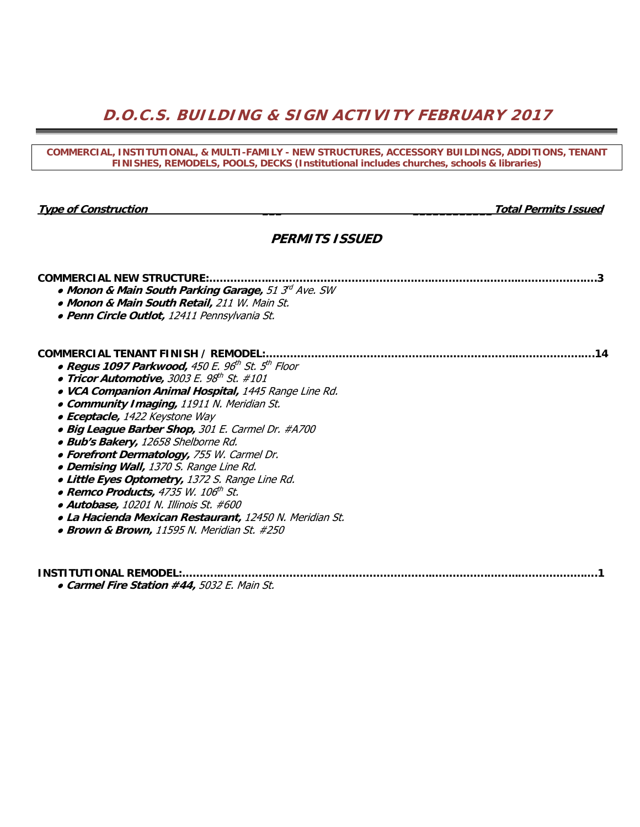# **D.O.C.S. BUILDING & SIGN ACTIVITY FEBRUARY 2017**

#### **COMMERCIAL, INSTITUTIONAL, & MULTI-FAMILY - NEW STRUCTURES, ACCESSORY BUILDINGS, ADDITIONS, TENANT FINISHES, REMODELS, POOLS, DECKS (Institutional includes churches, schools & libraries)**

**Type of Construction The Construction** *Type of Construction* **<b>***Total Permits Issued* 

## **PERMITS ISSUED**

| <b>COMMERCIAL NEW STRUCTURE:</b><br>• Monon & Main South Parking Garage, 51 3 <sup>rd</sup> Ave. SW<br>• Monon & Main South Retail, 211 W. Main St. |
|-----------------------------------------------------------------------------------------------------------------------------------------------------|
| • Penn Circle Outlot, 12411 Pennsylvania St.                                                                                                        |
| COMMERCIAL TENANT FINISH / REMODEL:<br>14                                                                                                           |
| • Regus 1097 Parkwood, 450 E. 96 <sup>th</sup> St. 5 <sup>th</sup> Floor                                                                            |
| • Tricor Automotive, 3003 E. 98 <sup>th</sup> St. #101                                                                                              |
| • VCA Companion Animal Hospital, 1445 Range Line Rd.                                                                                                |
| • Community Imaging, 11911 N. Meridian St.                                                                                                          |
| • Eceptacle, 1422 Keystone Way                                                                                                                      |
| • Big League Barber Shop, 301 E. Carmel Dr. #A700                                                                                                   |
| · Bub's Bakery, 12658 Shelborne Rd.                                                                                                                 |
| • Forefront Dermatology, 755 W. Carmel Dr.                                                                                                          |
| • Demising Wall, 1370 S. Range Line Rd.                                                                                                             |
| • Little Eyes Optometry, 1372 S. Range Line Rd.                                                                                                     |
| • Remco Products, 4735 W. 106 <sup>th</sup> St.                                                                                                     |
| • Autobase, 10201 N. Illinois St. #600                                                                                                              |
| • La Hacienda Mexican Restaurant, 12450 N. Meridian St.                                                                                             |
| • Brown & Brown, 11595 N. Meridian St. #250                                                                                                         |
|                                                                                                                                                     |
|                                                                                                                                                     |

**INSTITUTIONAL REMODEL:………..…………..………………………………………..…………….……...……………….….1**  ● **Carmel Fire Station #44,** 5032 E. Main St.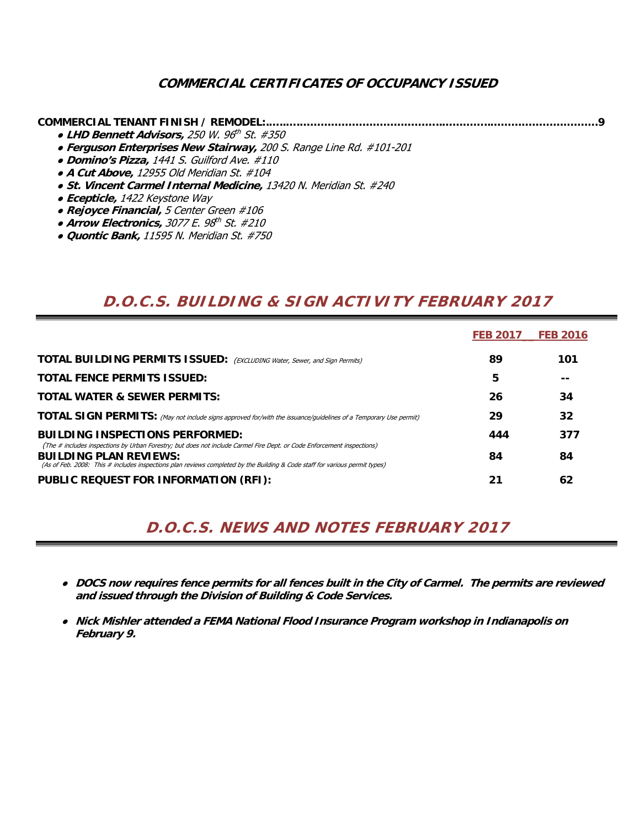## **COMMERCIAL CERTIFICATES OF OCCUPANCY ISSUED**

## **COMMERCIAL TENANT FINISH / REMODEL:.…..….…………………………………..…………..………………………….9**

- **LHD Bennett Advisors,** 250 W. 96th St. #350
- **Ferguson Enterprises New Stairway,** 200 S. Range Line Rd. #101-201
- **Domino's Pizza,** 1441 S. Guilford Ave. #110
- **A Cut Above,** 12955 Old Meridian St. #104
- **St. Vincent Carmel Internal Medicine,** 13420 N. Meridian St. #240
- **Ecepticle,** 1422 Keystone Way
- **Rejoyce Financial,** 5 Center Green #106
- Arrow Electronics, 3077 E. 98<sup>th</sup> St. #210
- **Quontic Bank,** 11595 N. Meridian St. #750

# **D.O.C.S. BUILDING & SIGN ACTIVITY FEBRUARY 2017**

|                                                                                                                                                                                                                                                                                        | <b>FEB 2017</b> | <b>FEB 2016</b> |
|----------------------------------------------------------------------------------------------------------------------------------------------------------------------------------------------------------------------------------------------------------------------------------------|-----------------|-----------------|
| <b>TOTAL BUILDING PERMITS ISSUED:</b> (EXCLUDING Water, Sewer, and Sign Permits)                                                                                                                                                                                                       | 89              | 101             |
| <b>TOTAL FENCE PERMITS ISSUED:</b>                                                                                                                                                                                                                                                     | 5               |                 |
| <b>TOTAL WATER &amp; SEWER PERMITS:</b>                                                                                                                                                                                                                                                | 26              | 34              |
| TOTAL SIGN PERMITS: (May not include signs approved for/with the issuance/guidelines of a Temporary Use permit)                                                                                                                                                                        | 29              | 32              |
| <b>BUILDING INSPECTIONS PERFORMED:</b>                                                                                                                                                                                                                                                 | 444             | 377             |
| (The # includes inspections by Urban Forestry; but does not include Carmel Fire Dept. or Code Enforcement inspections)<br><b>BUILDING PLAN REVIEWS:</b><br>(As of Feb. 2008: This # includes inspections plan reviews completed by the Building & Code staff for various permit types) | 84              | 84              |
| PUBLIC REQUEST FOR INFORMATION (RFI):                                                                                                                                                                                                                                                  | 21              | 62              |

# **D.O.C.S. NEWS AND NOTES FEBRUARY 2017**

- ● **DOCS now requires fence permits for all fences built in the City of Carmel. The permits are reviewed and issued through the Division of Building & Code Services.**
- **Nick Mishler attended a FEMA National Flood Insurance Program workshop in Indianapolis on February 9.**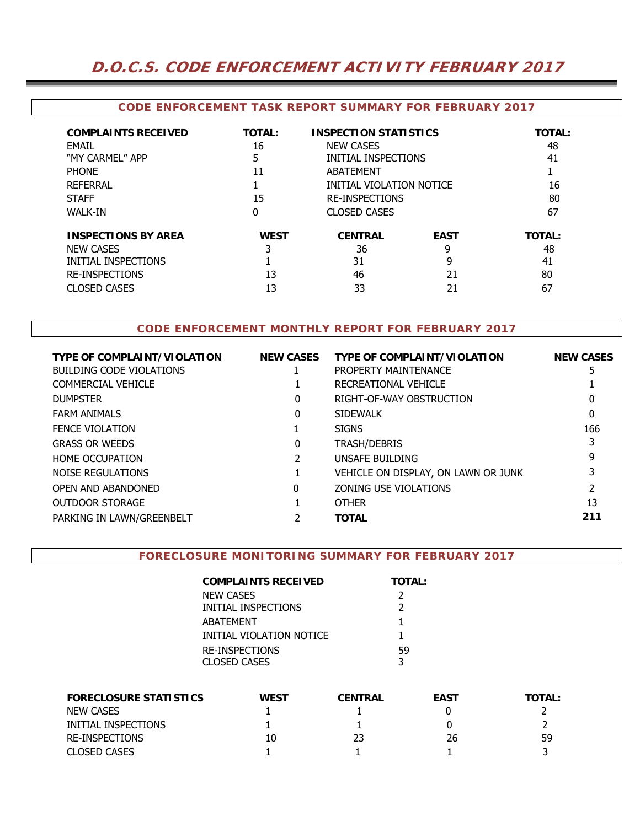# **D.O.C.S. CODE ENFORCEMENT ACTIVITY FEBRUARY 2017**

#### **CODE ENFORCEMENT TASK REPORT SUMMARY FOR FEBRUARY 2017**

| <b>COMPLAINTS RECEIVED</b><br>FMAIL<br>"MY CARMEL" APP<br><b>PHONE</b><br><b>REFERRAL</b><br><b>STAFF</b><br><b>WALK-IN</b> | <b>TOTAL:</b><br>16<br>5<br>11<br>15<br>0 | <b>INSPECTION STATISTICS</b><br><b>NEW CASES</b><br>INITIAL INSPECTIONS<br>ABATEMENT<br>INITIAL VIOLATION NOTICE<br><b>RE-INSPECTIONS</b><br><b>CLOSED CASES</b> |                                   | <b>TOTAL:</b><br>48<br>41<br>16<br>80<br>67 |
|-----------------------------------------------------------------------------------------------------------------------------|-------------------------------------------|------------------------------------------------------------------------------------------------------------------------------------------------------------------|-----------------------------------|---------------------------------------------|
| <b>INSPECTIONS BY AREA</b><br><b>NEW CASES</b><br>INITIAL INSPECTIONS<br><b>RE-INSPECTIONS</b><br><b>CLOSED CASES</b>       | <b>WEST</b><br>3<br>13<br>13              | <b>CENTRAL</b><br>36<br>31<br>46<br>33                                                                                                                           | <b>EAST</b><br>9<br>9<br>21<br>21 | <b>TOTAL:</b><br>48<br>41<br>80<br>67       |

### **CODE ENFORCEMENT MONTHLY REPORT FOR FEBRUARY 2017**

| <b>TYPE OF COMPLAINT/VIOLATION</b> | <b>NEW CASES</b> | <b>TYPE OF COMPLAINT/VIOLATION</b>  | <b>NEW CASES</b> |
|------------------------------------|------------------|-------------------------------------|------------------|
| <b>BUILDING CODE VIOLATIONS</b>    |                  | PROPERTY MAINTENANCE                | 5                |
| <b>COMMERCIAL VEHICLE</b>          |                  | RECREATIONAL VEHICLE                |                  |
| <b>DUMPSTER</b>                    | 0                | RIGHT-OF-WAY OBSTRUCTION            | 0                |
| <b>FARM ANIMALS</b>                | 0                | <b>SIDEWALK</b>                     | 0                |
| <b>FENCE VIOLATION</b>             |                  | <b>SIGNS</b>                        | 166              |
| <b>GRASS OR WEEDS</b>              | 0                | <b>TRASH/DEBRIS</b>                 |                  |
| <b>HOME OCCUPATION</b>             |                  | UNSAFE BUILDING                     | 9                |
| NOISE REGULATIONS                  |                  | VEHICLE ON DISPLAY, ON LAWN OR JUNK |                  |
| OPEN AND ABANDONED                 | 0                | ZONING USE VIOLATIONS               |                  |
| <b>OUTDOOR STORAGE</b>             |                  | <b>OTHER</b>                        | 13               |
| PARKING IN LAWN/GREENBELT          |                  | <b>TOTAL</b>                        | 211              |
|                                    |                  |                                     |                  |

#### **FORECLOSURE MONITORING SUMMARY FOR FEBRUARY 2017**

| COMPLAINTS RECEIVED      | <b>TOTAL:</b> |
|--------------------------|---------------|
| NEW CASES                | $\mathcal{L}$ |
| INITIAL INSPECTIONS      | $\mathcal{L}$ |
| ABATEMENT                |               |
| INITIAL VIOLATION NOTICE |               |
| RE-INSPECTIONS           | .59           |
| CLOSED CASES             | 3             |

| <b>FORECLOSURE STATISTICS</b> | <b>WEST</b> | <b>CENTRAL</b> | <b>EAST</b> | <b>TOTAL:</b> |
|-------------------------------|-------------|----------------|-------------|---------------|
| <b>NEW CASES</b>              |             |                |             |               |
| INITIAL INSPECTIONS           |             |                |             |               |
| RE-INSPECTIONS                | 10          | 23             | 26          | 59            |
| <b>CLOSED CASES</b>           |             |                |             |               |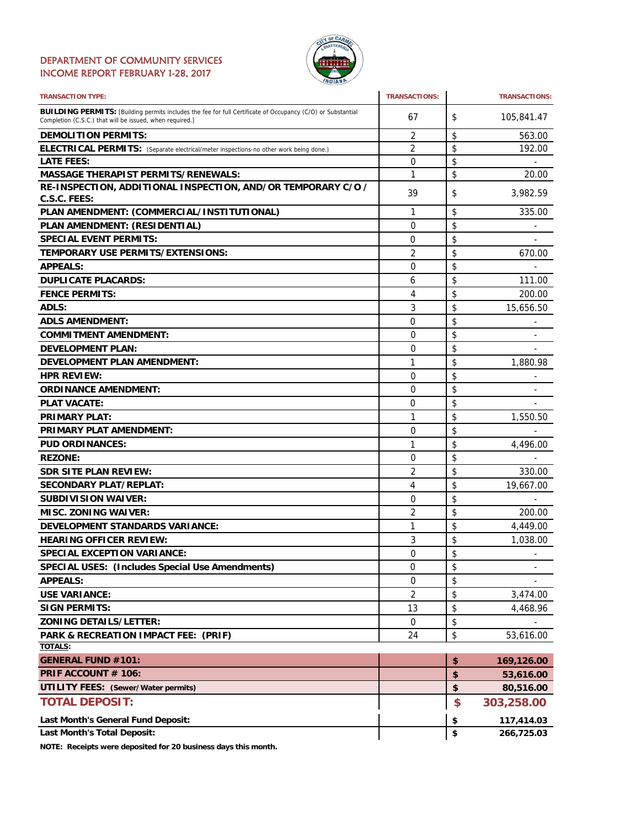### DEPARTMENT OF COMMUNITY SERVICES INCOME REPORT FEBRUARY 1-28, 2017



| <b>TRANSACTION TYPE:</b>                                                                                                                                                       | <b>TRANSACTIONS:</b> | <b>TRANSACTIONS:</b>           |
|--------------------------------------------------------------------------------------------------------------------------------------------------------------------------------|----------------------|--------------------------------|
| <b>BUILDING PERMITS:</b> [Building permits includes the fee for full Certificate of Occupancy (C/O) or Substantial<br>Completion (C.S.C.) that will be issued, when required.] | 67                   | \$<br>105,841.47               |
| <b>DEMOLITION PERMITS:</b>                                                                                                                                                     | 2                    | \$<br>563.00                   |
| ELECTRICAL PERMITS: (Separate electrical/meter inspections-no other work being done.)                                                                                          | 2                    | \$<br>192.00                   |
| <b>LATE FEES:</b>                                                                                                                                                              | 0                    | \$                             |
| <b>MASSAGE THERAPIST PERMITS/RENEWALS:</b>                                                                                                                                     | 1                    | \$<br>20.00                    |
| RE-INSPECTION, ADDITIONAL INSPECTION, AND/OR TEMPORARY C/O /<br>C.S.C. FEES:                                                                                                   | 39                   | \$<br>3,982.59                 |
| PLAN AMENDMENT: (COMMERCIAL/INSTITUTIONAL)                                                                                                                                     | 1                    | \$<br>335.00                   |
| PLAN AMENDMENT: (RESIDENTIAL)                                                                                                                                                  | 0                    | \$                             |
| <b>SPECIAL EVENT PERMITS:</b>                                                                                                                                                  | 0                    | \$                             |
| TEMPORARY USE PERMITS/EXTENSIONS:                                                                                                                                              | $\overline{2}$       | \$<br>670.00                   |
| <b>APPEALS:</b>                                                                                                                                                                | 0                    | \$                             |
| <b>DUPLICATE PLACARDS:</b>                                                                                                                                                     | 6                    | \$<br>111.00                   |
| <b>FENCE PERMITS:</b>                                                                                                                                                          | 4                    | \$<br>200.00                   |
| ADLS:                                                                                                                                                                          | 3                    | \$<br>15,656.50                |
| <b>ADLS AMENDMENT:</b>                                                                                                                                                         | 0                    | \$                             |
| <b>COMMITMENT AMENDMENT:</b>                                                                                                                                                   | 0                    | \$                             |
| <b>DEVELOPMENT PLAN:</b>                                                                                                                                                       | 0                    | \$                             |
| <b>DEVELOPMENT PLAN AMENDMENT:</b>                                                                                                                                             | 1                    | \$<br>1,880.98                 |
| <b>HPR REVIEW:</b>                                                                                                                                                             | 0                    | \$                             |
| <b>ORDINANCE AMENDMENT:</b>                                                                                                                                                    | 0                    | \$                             |
| <b>PLAT VACATE:</b>                                                                                                                                                            | 0                    | \$                             |
| <b>PRIMARY PLAT:</b>                                                                                                                                                           | 1                    | \$<br>1,550.50                 |
| <b>PRIMARY PLAT AMENDMENT:</b>                                                                                                                                                 | 0                    | \$                             |
| <b>PUD ORDINANCES:</b>                                                                                                                                                         | 1                    | \$<br>4,496.00                 |
| <b>REZONE:</b>                                                                                                                                                                 | 0                    | \$                             |
| <b>SDR SITE PLAN REVIEW:</b>                                                                                                                                                   | $\overline{2}$       | \$<br>330.00                   |
| <b>SECONDARY PLAT/REPLAT:</b>                                                                                                                                                  | 4                    | \$<br>19,667.00                |
| <b>SUBDIVISION WAIVER:</b>                                                                                                                                                     | 0                    | \$                             |
| <b>MISC. ZONING WAIVER:</b>                                                                                                                                                    | 2                    | \$<br>200.00                   |
| DEVELOPMENT STANDARDS VARIANCE:                                                                                                                                                | 1                    | \$<br>4,449.00                 |
| <b>HEARING OFFICER REVIEW:</b>                                                                                                                                                 | 3                    | \$<br>1,038.00                 |
| <b>SPECIAL EXCEPTION VARIANCE:</b>                                                                                                                                             | $\Omega$             | \$<br>$\overline{\phantom{a}}$ |
| <b>SPECIAL USES: (Includes Special Use Amendments)</b>                                                                                                                         | 0                    | \$<br>۰                        |
| <b>APPEALS:</b>                                                                                                                                                                | 0                    | \$                             |
| <b>USE VARIANCE:</b>                                                                                                                                                           | 2                    | \$<br>3,474.00                 |
| <b>SIGN PERMITS:</b>                                                                                                                                                           | 13                   | \$<br>4,468.96                 |
| <b>ZONING DETAILS/LETTER:</b>                                                                                                                                                  | 0                    | \$                             |
| PARK & RECREATION IMPACT FEE: (PRIF)                                                                                                                                           | 24                   | \$<br>53,616.00                |
| TOTALS:                                                                                                                                                                        |                      |                                |
| <b>GENERAL FUND #101:</b>                                                                                                                                                      |                      | \$<br>169,126.00               |
| PRIF ACCOUNT # 106:                                                                                                                                                            |                      | \$<br>53,616.00                |
| <b>UTILITY FEES: (Sewer/Water permits)</b>                                                                                                                                     |                      | \$<br>80,516.00                |
| <b>TOTAL DEPOSIT:</b>                                                                                                                                                          |                      | \$<br>303,258.00               |
| Last Month's General Fund Deposit:                                                                                                                                             |                      | \$<br>117,414.03               |
| <b>Last Month's Total Deposit:</b>                                                                                                                                             |                      | \$<br>266,725.03               |

**NOTE: Receipts were deposited for 20 business days this month.**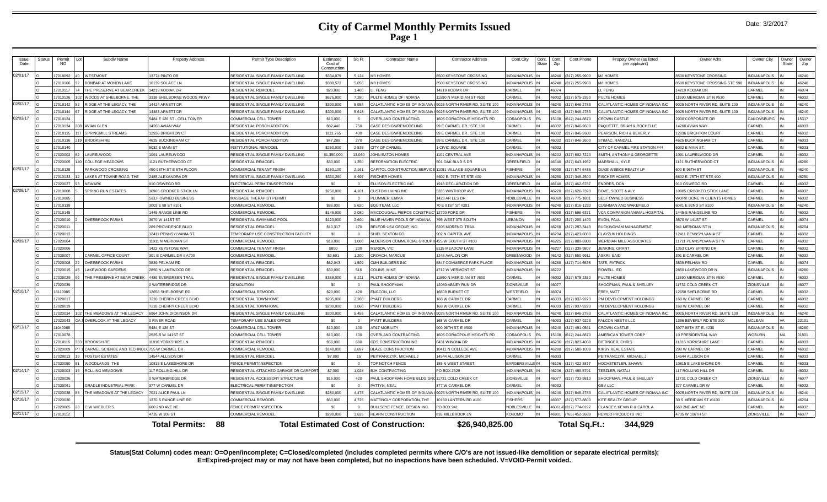## **City of Carmel Monthly Permits Issued Page 1**

| Issue<br>Date | Status | Permit<br><b>NO</b> | Subdiv Name                                 | <b>Property Address</b>     | Permit Type Description               | Estimated<br>Cost of<br>Construction | Sq Ft    | <b>Contractor Name</b>                       | <b>Contractor Address</b>         | Cont.City          | Cont.<br>State | Con<br>Zip   | Cont.Phone             | Propety Owner (as listed<br>per applicant) | Owner Adrs                    | Owner City          | Owner<br>State | Owne<br>Zip |
|---------------|--------|---------------------|---------------------------------------------|-----------------------------|---------------------------------------|--------------------------------------|----------|----------------------------------------------|-----------------------------------|--------------------|----------------|--------------|------------------------|--------------------------------------------|-------------------------------|---------------------|----------------|-------------|
| 02/01/17      |        | 17010092            | WESTMONT                                    | 13774 PINTO DR              | RESIDENTIAL SINGLE FAMILY DWELLING    | \$334,079                            | 5,124    | M/I HOMES                                    | 3500 KEYSTONE CROSSING            | <b>VDIANAPOLI</b>  |                |              | (317) 255-9900         | M/I HOMES                                  | <b>8500 KEYSTONE CROSSING</b> | NDIANAPOLIS         |                | 46240       |
|               |        | 17010106            | <b>BONBAR AT MONON LAKE</b>                 | 10139 SOLACE LN             | RESIDENTIAL SINGLE FAMILY DWELLING    | \$380.572                            | 5.056    | <b>VI HOMES</b>                              | 3500 KEYSTONE CROSSING            | <b>NDIANAPOLIS</b> |                | 46240        | (317) 255-9900         | M/I HOMES                                  | 500 KEYSTONE CROSSING STE 590 | <b>INDIANAPOLIS</b> |                | 46240       |
|               |        | 17010117            | THE PRESERVE AT BEAR CREEK                  | 14219 KODIAK DR             | <b>RESIDENTIAL REMODEL</b>            | \$20,000                             | 1.400    | . FENG                                       | 4219 KODIAK DR                    | <b>ARMEL</b>       |                | 6074         |                        | I. FENG                                    | 4219 KODIAK DR                | ARMEL               |                | 46074       |
|               |        | 17010126            | WOODS AT SHELBORNE. THE                     | 3338 SHELBORNE WOODS PKWY   | RESIDENTIAL SINGLE FAMILY DWELLING    | \$675,000                            | 7.280    | ULTE HOMES OF INDIANA                        | 1590 N MERIDIAN ST #530           | CARMEL             |                | 16032        | (317) 575-2350         | PULTE HOMES                                | 1590 MERIDIAN ST N #530       | ARMEI:              |                | 46032       |
| 02/02/17      |        | 17010142            | RIDGE AT THE LEGACY, THE                    | 14424 ARNETT DR             | RESIDENTIAL SINGLE FAMILY DWELLING    | \$300,000                            | 5.958    | CALATLANTIC HOMES OF INDIANA                 | 0025 NORTH RIVER RD, SUITE 100    | NDIANAPOLI         |                | 46240        | (317) 846-2783         | CALATLANTIC HOMES OF INDIANA INC           | 025 NORTH RIVER RD, SUITE 100 | <b>INDIANAPOLIS</b> |                | 46240       |
|               |        | 17010144            | RIDGE AT THE LEGACY. THE                    | 14483 ARNETT DR             | RESIDENTIAL SINGLE FAMILY DWELLING    | \$300,000                            | 5.618    | CALATLANTIC HOMES OF INDIANA                 | 025 NORTH RIVER RD, SUITE 100     | <b>NDIANAPOLIS</b> |                | 46240        | (317) 846-2783         | CALATLANTIC HOMES OF INDIANA INC           | 25 NORTH RIVER RD, SUITE 100  | <b>NDIANAPOLIS</b>  |                | 46240       |
| 02/03/17      |        | 17010124            |                                             | 5484 E 126 ST - CELL TOWER  | COMMERCIAL CELL TOWER                 | \$10,000                             | -6       | <b>OVERLAND CONTRACTING</b>                  | 605 CORAOPOLIS HEIGHTS RD         | <b>CORAOPOLIS</b>  |                | 5108         | (612) 244-8870         | <b>CROWN CASTLE</b>                        | 2000 CORPORATE DR             | CANONSBURG          |                | 15317       |
|               |        | 17010134            | <b>AVIAN GLEN</b>                           | 14268 AVIAN WAY             | RESIDENTIAL PORCH ADDITION            | \$82,440                             | 750      | CASE DESIGN/REMODELING                       | 99 E CARMEL DR., STE 100          | CARMEL             |                | \$6032       | (317) 846-2600         | PAQUETTE, BRIAN & ROCHELLE                 | 4268 AVIAN WAY                | CARMEL              |                | 46033       |
|               |        | 17010135            | <b>SPRINGMILL STREAMS</b>                   | 12936 BRIGHTON CT           | RESIDENTIAL PORCH ADDITION            | \$111,765                            | 430      | CASE DESIGN/REMODELING                       | 99 E CARMEL DR., STE 100          | ARMEL              |                | <b>CENAI</b> | (317) 846-2600         | PEARSON, RICH & BEVERLY                    | 2936 BRIGHTON COURT           | ARMEL               |                | 46032       |
|               |        | 17010136            | <b>BROOKSHIRE</b>                           | <b>4625 BUCKINGHAM CT</b>   | RESIDENTIAL PORCH ADDITION            | \$47,288                             | 270      | CASE DESIGN/REMODELING                       | 99 E CARMEL DR., STE 100          | CARMEL             |                | <b>CENAI</b> | (317) 846-2600         | STIMAC, RANDALI                            | <b>1625 BUCKINGHAM CT</b>     | <b>CARMEL</b>       |                | 46033       |
|               |        | 17010140            |                                             | 5032 E MAIN ST              | <b>INSTITUTIONAL REMODEL</b>          | \$250,000                            | 2.538    | <b>ITY OF CARMEL</b>                         | <b>CIVIC SQUARE</b>               | CARMEL             |                | 6032         |                        | CITY OF CARMEL FIRE STATION #44            | 5032 E MAIN ST.               | <b>ARMFI</b>        |                | 46033       |
|               |        | 17020002            | LAURELWOOD                                  | 1091 LAURELWOOD             | RESIDENTIAL SINGLE FAMILY DWELLING    | \$1,350,000                          | 13.060   | JOHN FATON HOMES                             | 1101 CENTRAL AVE                  | <b>NDIANAPOLI</b>  |                | 46202        | (317) 602-7220         | SMITH, ANTHONY & GEORGETTE                 | 1091 LAURELWOOD DE            | ARMEI               |                | 46032       |
|               |        | 17020005            | <b>COLLEGE MEADOWS</b>                      | 1121 RUTHERWOOD CT          | <b>RESIDENTIAL REMODEL</b>            | \$30,000                             | 1.350    | REFORMATION ELECTRIC                         | 501 OAK BLVD S DR                 | <b>SREENFIELD</b>  |                |              | 46140 (317) 643-1952   | MARSHALL, KYLE                             | 121 RUTHERWOOD CT             | <b>INDIANAPOLIS</b> |                | 46280       |
| 02/07/17      |        | 1701012             | PARKWOOD CROSSING                           | 450 96TH ST E 5TH FLOOR     | COMMERCIAL TENANT FINISH              | \$150,100                            | 2.161    | <b>CAPITOL CONSTRUCTION SERVICE</b>          | 11051 VILLAGE SQUARE LN           | <b>ISHERS</b>      |                | 86034        | (317) 574-5488         | DUKE WEEKS REALTY LP                       | 600 E 96TH ST                 | NDIANAPOLIS         |                | 46240       |
|               |        | 17010133            | LAKES AT TOWNE ROAD. THE                    | 2485 ALEXANDRA DR           | RESIDENTIAL SINGLE FAMILY DWELLING    | \$330,290                            | 6.697    | <b>ISCHER HOMES</b>                          | 602 F. 75TH ST STF 400            | NDIANAPOLIS        |                | 16250        | (317) 348-2500         | <b>FISCHER HOMES</b>                       | 6602 E. 75TH ST STE 400       | <b>NDIANAPOLIS</b>  |                | 46250       |
|               |        | 17020027            | <b>NEWARK</b>                               | 910 OSWEGO RD               | ELECTRICAL PERMIT/INSPECTION          | \$0                                  | $\Omega$ | <b>LLISON ELECTRIC INC.</b>                  | 918 DECLARATION DR                | <b>SREENFIELD</b>  |                | 46140        | (317) 462-6787         | <b>ENDRES, DON</b>                         | 10 OSWEGO RD                  | <b>ARMEL</b>        |                | 46032       |
| 02/08/17      |        | 1701000             | <b>SPRING RUN ESTATES</b>                   | 10905 CROOKED STICK LN      | <b>RESIDENTIAL REMODEL</b>            | \$250,000                            | 4 1 0 1  | <b>CUSTOM LIVING INC</b>                     | 5335 WINTHROP AVE                 | <b>NDIANAPOLIS</b> |                | 16220        | (317) 626-7393         | BOVE, SCOTT & ALY                          | 0905 CROOKED STICK LANE       | ARMFI:              |                | 46032       |
|               |        | 17010085            |                                             | SELF OWNED BUSINESS         | MASSAGE THERAPIST PERMIT              | \$0                                  |          | PLUMMER EMM/                                 | 423 AR LES DR                     | NOBLESVILLI        |                | 06064        | (317) 775-1801         | SELF OWNED BUSINESS                        | WORK DONE IN CLIENTS HOMES    | <b>ARMEL</b>        |                | 46032       |
|               |        | 17010139            |                                             | 3003 E 98 ST #101           | <b>COMMERCIAL REMODE</b>              | \$86,000                             | 5,620    | EQUITEAM, LLC                                | 70 E 91ST ST #201                 | NDIANAPOLI:        |                | 46240        | (317) 816-1230         | <b>CUSHMAN AND WAKEFIELD</b>               | 6081 E 82ND ST #100           | <b>INDIANAPOLIS</b> |                | 46240       |
|               |        | 17010145            |                                             | 1445 RANGE LINE RD          | <b>COMMERCIAL REMODEL</b>             | \$146,000                            | 2.080    | MACDOUGALL PIERCE CONSTRUC                   | 12720 FORD DR                     | <b>ISHERS</b>      |                | 88031        | (317) 596-6371         | <b>/CA COMPANION ANIMAL HOSPITAL</b>       | 445 S RANGELINE RD            | CARMEL              |                | 46032       |
|               |        | 17020010            | <b>OVERBROOK FARMS</b>                      | 3670 W 141ST ST             | RESIDENTIAL SWIMMING POOL             | \$123,000                            | 2.600    | BLUE HAVEN POOLS OF INDIANA                  | 795 WEST 375 SOUTH                | EBANON             |                | 46052        | (317) 209-1400         | <b>EVON, PAUL</b>                          | 8670 W 141ST ST               | CARMEL              |                | 46074       |
|               |        | 17020011            |                                             | 269 PROVIDENCE BLVD         | RESIDENTIAL REMODE                    | \$10,317                             | 170      | BELFOR USA GROUP. INC.                       | 205 MORENCLTRAIL                  | <b>NDIANAPOLIS</b> |                | 82681        | (317) 297-3443         | <b>BUCKINGHAM MANAGEMENT</b>               | 41 MERIDIAN ST N              | NDIANAPOLIS         |                | 46204       |
|               |        | 17020012            |                                             | 12411 PENNSYLVANIA ST       | TEMPORARY USE CONSTRUCTION FACILITY   | \$0                                  | $\Omega$ | <b>HIEL SEXTON CO</b>                        | 902 N CAPITOL AVE                 | <b>NDIANAPOLIS</b> |                | 16204        | (317) 423-6000         | <b>CLAYZUK HOLDINGS</b>                    | 2411 PENNSYLVANIA ST          | CARMEL              |                | 46032       |
| 02/09/17      |        | 17020004            |                                             | 11911 N MERIDIAN ST         | <b>COMMERCIAL REMODEI</b>             | \$18,000                             | 1.000    | LDERSON COMMERCIAL GROUP I                   | 425 W SOUTH ST #100               | <b>NDIANAPOLI</b>  |                | 46225        | (317) 889-3800         | MERIDIAN MILE ASSOCIATES                   | 11711 PENNSYLVANIA ST N       | CARMEL              |                | 46032       |
|               |        | 17020006            |                                             | 1422 KEYSTONE WAY           | <b>COMMERCIAL TENANT FINISH</b>       | \$800                                | 200      | MERIDA, VIC                                  | 8115 MEADOW LANE                  | <b>NDIANAPOLIS</b> |                | 46227        | (317) 339-9807         | <b>IFNKINS GRAN</b>                        | <b>1363 CLAY SPRING DR</b>    | CARMEL              |                | 46032       |
|               |        | 17020007            | CARMEL OFFICE COURT                         | 301 E CARMEL DR # A700      | COMMERCIAL REMODE                     | \$9,601                              | 1.200    | CROACH, MARCUS                               | 1246 AVALON CII                   | <b>SREENWOOD</b>   |                | 46142        | (317) 550-9911         | ASKRI, SAID                                | 301 E CARMEL DF               | CARMEL              |                | 46032       |
|               |        | 17020008            | <b>OVERBROOK FARMS</b>                      | 3839 PELHAM RD              | <b>RESIDENTIAL REMODEL</b>            | \$62,043                             | 1.509    | CMH BUILDERS INC                             | 8847 COMMERCE PARK PLACE          | NDIANAPOLIS        |                | 46268        | (317) 714-6536         | TATE, PATRICK                              | 3839 PELHAM RD                | <b>CARMEL</b>       |                | 46074       |
|               |        | 17020015            | <b>LAKEWOOD GARDENS</b>                     | 2850 N LAKEWOOD DR          | RESIDENTIAL REMODEL                   | \$30,000                             | 516      | COLINS, MIKE                                 | 4712 W VERMONT ST                 | NDIANAPOLIS        |                | 16222        |                        | ROWELL, ED                                 | 2850 LAKEWOOD DR N            | <b>INDIANAPOLIS</b> |                | 46280       |
|               |        | 17020029            | THE PRESERVE AT BEAR CREEK                  | 4489 EVERGREEN TRAIL        | RESIDENTIAL SINGLE FAMILY DWELLING    | \$388,000                            | 6.211    | PULTE HOMES OF INDIANA                       | 1590 N MERIDIAN ST #530           | ARMEL              |                | 16032        | (317) 575-2350         | PULTE HOMES                                | 1590 MERIDIAN ST N #530       | ARMEI               |                | 46032       |
|               |        | 17020039            |                                             | 0 WATERBRIDGE DR            | <b>DEMOLITION</b>                     | \$0                                  | $\Omega$ | PAUL SHOOPMAN                                | 12080 ABNEY RUN DR                | ZIONSVILLE         |                | 16077        |                        | SHOOPMAN, PAUL & SHELLEY                   | 1731 COLD CREEK CT            | <b>ZIONSVILLE</b>   |                | 46077       |
| 02/10/17      |        | 16110085            |                                             | 12658 SHELBORNE RD          | <b>COMMERCIAL REMODEL</b>             | \$20,000                             | 420      | NGCON, LLC                                   | <b>16809 BURKET CT</b>            | VESTFIELD          |                | 16074        |                        | <b>FREY, MATT</b>                          | 2658 SHELBORNE RD             | CARMEL              |                | 46032       |
|               |        | 17020013            |                                             | 7220 CHERRY CREEK BLVD      | RESIDENTIAL TOWNHOME                  | \$205,000                            | 2.208    | PYATT BUILDERS                               | 168 W CARMEL DR                   | CARMEL             |                | <b>SPORA</b> | (317) 937-9223         | PM DEVELOPMENT HOLDINGS                    | 68 W CARMEL DR                | <b>CARMEL</b>       |                | 46032       |
|               |        | 1702001             |                                             | 7218 CHERRY CREEK BLVD      | <b>RESIDENTIAL TOWNHOME</b>           | \$230,000                            | 3.060    | <b>PYATT BUILDERS</b>                        | 168 W CARMEL DR                   | CARMEL             |                | 16033        | (317) 937-9223         | PM DEVELOPMENT HOLDINGS                    | <b>68 W CARMEL DF</b>         | CARMEL              |                | 46032       |
|               |        | 17020034            | THE MEADOWS AT THE LEGACY                   | 6964 JOHN DICKINSON DR      | RESIDENTIAL SINGLE FAMILY DWELLING    | \$300,000                            | 5.455    | CALATLANTIC HOMES OF INDIANA                 | 9025 NORTH RIVER RD, SUITE 100    | <b>NDIANAPOLI</b>  |                | 46240        | (317) 846-2783         | CALATLANTIC HOMES OF INDIANA INC           | 025 NORTH RIVER RD, SUITE 100 | <b>INDIANAPOLIS</b> |                | 46240       |
|               |        | 17020043            | 3 OVERLOOK AT THE LEGACY                    | 0 RIVER ROAD                | TEMPORARY USE SALES OFFICE            | \$0                                  | $\Omega$ | PYATT BUILDERS                               | <b>168 W CARMEL DR</b>            | ARMEL              |                | 8033         | (317) 937-9223         | FALCON NEST II LLC                         | 356 BEVERLY RD STE 300        | <b>ACLEAN</b>       |                | 22101       |
| 02/13/17      |        | 11040065            |                                             | 5484 E 126 ST               | COMMERCIAL CELL TOWER                 | \$10,000                             | 100      | <b>AT&amp;T MOBILITY</b>                     | 900 96TH ST, E #500               | <b>NDIANAPOLIS</b> |                | 46240        | (317) 491-0561         | CROWN CASTLE                               | 3077 98TH ST E. #230          | NDIANAPOLIS         |                | 46280       |
|               |        | 17010078            |                                             | 2525-B W 141ST ST           | COMMERCIAL CELL TOWER                 | \$10,000                             | 100      | OVERLAND CONTRACTING                         | <b>1605 CORAOPOLIS HEIGHTS RD</b> | CORAOPOLIS         |                | 5108         | (612) 244-8870         | AMERICAN TOWER CORF                        | 0 PRESIDENTIAL WAY            | WOBURN              |                | 01801       |
|               |        | 17010116            | <b>BROOKSHIRE</b>                           | 11816 YORKSHIRE LN          | <b>RESIDENTIAL REMODE</b>             | \$56,000                             | 680      | <b>GDS CONSTRUCTION INC</b>                  | 6431 WINONA DR                    | <b>NDIANAPOLI</b>  |                | 46236        | (317) 823-4009         | <b>BITTINGER, CHRIS</b>                    | 11816 YORKSHIRE LAN           | CARMEL              |                | 46033       |
|               |        | 17020009            | CARMEL SCIENCE AND TECHNOLO 755 W CARMEL DR |                             | <b>COMMERCIAL REMODEL</b>             | \$140,000                            | 2.697    | <b>BLAZE CONSTRUCTION</b>                    | 10411 N COLLEGE AVE               | <b>NDIANAPOLI</b>  |                | 46280        | (317) 580-1008         | <b>KIRBY REAL ESTATE</b>                   | 298 W CARMEL DR               | <b>CARMEL</b>       |                | 46032       |
|               |        | 17020013            | <b>FOSTER ESTATES</b>                       | 14544 ALLISON DR            | <b>RESIDENTIAL REMODEL</b>            | \$7,000                              | 15       | PEITRANCZYK, MICHAEL J                       | 4544 ALLISON DR                   | CARMEL             |                |              |                        | PEITRANCZYK, MICHAEL J                     | 14544 ALLISON DR              | CARMEL              |                | 46033       |
|               |        | 17020050            | WOODLANDS, THE                              | 10815 E LAKESHORE DR        | FENCE PERMIT/INSPECTION               | \$0                                  | $\Omega$ | TOP NOTCH FENCE                              | 185 N WEST STREET                 | BARGERSVILLE IN    |                |              | 46106 (317) 422-8877   | HOCHSTETLER, SHAWN                         | 0815 E LAKESHORE DR           | CARMEL              |                | 46033       |
| 02/14/17      |        | 17020003            | ROLLING MEADOWS                             | 117 ROLLING HILL DR         | RESIDENTIAL ATTACHED GARAGE OR CARPOR | \$7,000                              | 1,028    | <b>BJH CONTRACTING</b>                       | PO BOX 2329                       | <b>NDIANAPOLIS</b> |                | 46206        | (317) 489-5701         | <b>TESZLER, NATALI</b>                     | 17 ROLLING HILL DR            | CARMEL              |                | 46032       |
|               |        | 17020026            |                                             | 0 WATERBRIDGE DR            | RESIDENTIAL ACCESSORY STRUCTURE       | \$15,000                             | 420      | PAUL SHOOPMAN HOME BLDG GR                   | 11731 COLD CREEK CT               | <b>ZIONSVILLE</b>  |                | 16077        | (317) 733-9810         | SHOOPMAN, PAUL & SHELLEY                   | 1731 COLD CREEK CT            | <b>ZIONSVILLE</b>   |                | 46077       |
|               |        | 17020061            | <b>GRADLE INDUSTRIAL PARK</b>               | 377 W CARMEL DR             | ELECTRICAL PERMIT/INSPECTION          | \$0                                  | $\Omega$ | ATTYN, NEAL                                  | 377 W CARMEL DR                   | CARMEL             |                |              |                        | <b>GBY LLC</b>                             | 377 CARMEL DR W               | <b>ARMEL</b>        |                | 46032       |
| 02/15/17      |        | 1702003             | THE MEADOWS AT THE LEGACY                   | 7021 ALICE PAUL LN          | RESIDENTIAL SINGLE FAMILY DWELLING    | \$280,000                            | 4 4 7 5  | ALATLANTIC HOMES OF INDIANA                  | 025 NORTH RIVER RD, SUITE 100     | <b>NDIANAPOL</b>   |                | 46240        | (317) 846-2783         | CALATLANTIC HOMES OF INDIANA INC           | 025 NORTH RIVER RD, SUITE 100 | NDIANAPOLIS         |                | 46240       |
| 02/16/17      |        | 17020030            |                                             | 1370 S RANGE LINE RD        | COMMERCIAL REMODEL                    | \$60,000                             | 4.725    | MATTINGLY CORPORATION. THE                   | 0150 LANTERN RD #100              | <b>ISHERS</b>      |                | 46037        | (317) 577-8800         | KITE REALTY GROUP                          | 30 S MERIDIAN ST #1100        | NDIANAPOLIS         |                | 46204       |
|               |        | 17020065            | C W WIEDLER'S                               | 660 2ND AVE NE              | FENCE PERMIT/INSPECTION               | \$0                                  | $\Omega$ | BULLSEYE FENCE DESIGN INC.                   | PO BOX 941                        | NOBLESVILLE        |                |              | 46061-0 (317) 774-0197 | CLANCEY, KEVIN R & CAROL A                 | 660 2ND AVE NE                | CARMEL              |                | 46032       |
| 02/17/17      |        | 17010112            |                                             | 4735 W 106 ST               | <b>COMMERCIAL REMODEL</b>             | \$290,000                            | 3.625    | <b>HEARN CONSTRUCTION</b>                    | 816 MILLBROOK LN                  | OKOMO:             |                | 46901        | 765) 452-2669          | REMCO PRODUCTS INC                         | 4735 W 106TH ST               | ZIONSVILLE          |                | 46077       |
|               |        |                     |                                             | 88<br><b>Total Permits:</b> |                                       |                                      |          | <b>Total Estimated Cost of Construction:</b> | \$26,940,825.00                   |                    |                |              | Total Sq.Ft.:          | 344,929                                    |                               |                     |                |             |

**Status(Stat Column) codes mean: O=Open/incomplete; C=Closed/completed (includes completed permits where C/O's are not issued-like demolition or separate electrical permits); E=Expired-project may or may not have been completed, but no inspections have been scheduled. V=VOID-Permit voided.**